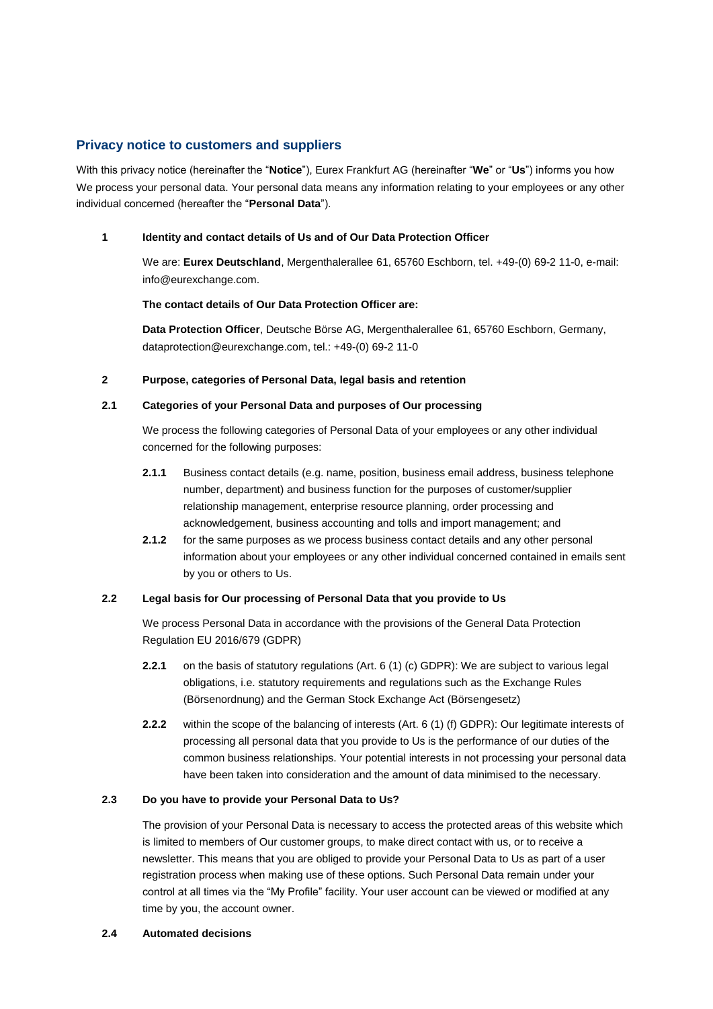# **Privacy notice to customers and suppliers**

With this privacy notice (hereinafter the "**Notice**"), Eurex Frankfurt AG (hereinafter "**We**" or "**Us**") informs you how We process your personal data. Your personal data means any information relating to your employees or any other individual concerned (hereafter the "**Personal Data**").

## <span id="page-0-1"></span>**1 Identity and contact details of Us and of Our Data Protection Officer**

We are: **Eurex Deutschland**, Mergenthalerallee 61, 65760 Eschborn, tel. +49-(0) 69-2 11-0, e-mail: info@eurexchange.com.

### **The contact details of Our Data Protection Officer are:**

**Data Protection Officer**, Deutsche Börse AG, Mergenthalerallee 61, 65760 Eschborn, Germany, dataprotection@eurexchange.com, tel.: +49-(0) 69-2 11-0

### **2 Purpose, categories of Personal Data, legal basis and retention**

### <span id="page-0-0"></span>**2.1 Categories of your Personal Data and purposes of Our processing**

We process the following categories of Personal Data of your employees or any other individual concerned for the following purposes:

- **2.1.1** Business contact details (e.g. name, position, business email address, business telephone number, department) and business function for the purposes of customer/supplier relationship management, enterprise resource planning, order processing and acknowledgement, business accounting and tolls and import management; and
- **2.1.2** for the same purposes as we process business contact details and any other personal information about your employees or any other individual concerned contained in emails sent by you or others to Us.

### **2.2 Legal basis for Our processing of Personal Data that you provide to Us**

We process Personal Data in accordance with the provisions of the General Data Protection Regulation EU 2016/679 (GDPR)

- **2.2.1** on the basis of statutory regulations (Art. 6 (1) (c) GDPR): We are subject to various legal obligations, i.e. statutory requirements and regulations such as the Exchange Rules (Börsenordnung) and the German Stock Exchange Act (Börsengesetz)
- **2.2.2** within the scope of the balancing of interests (Art. 6 (1) (f) GDPR): Our legitimate interests of processing all personal data that you provide to Us is the performance of our duties of the common business relationships. Your potential interests in not processing your personal data have been taken into consideration and the amount of data minimised to the necessary.

## **2.3 Do you have to provide your Personal Data to Us?**

The provision of your Personal Data is necessary to access the protected areas of this website which is limited to members of Our customer groups, to make direct contact with us, or to receive a newsletter. This means that you are obliged to provide your Personal Data to Us as part of a user registration process when making use of these options. Such Personal Data remain under your control at all times via the "My Profile" facility. Your user account can be viewed or modified at any time by you, the account owner.

#### **2.4 Automated decisions**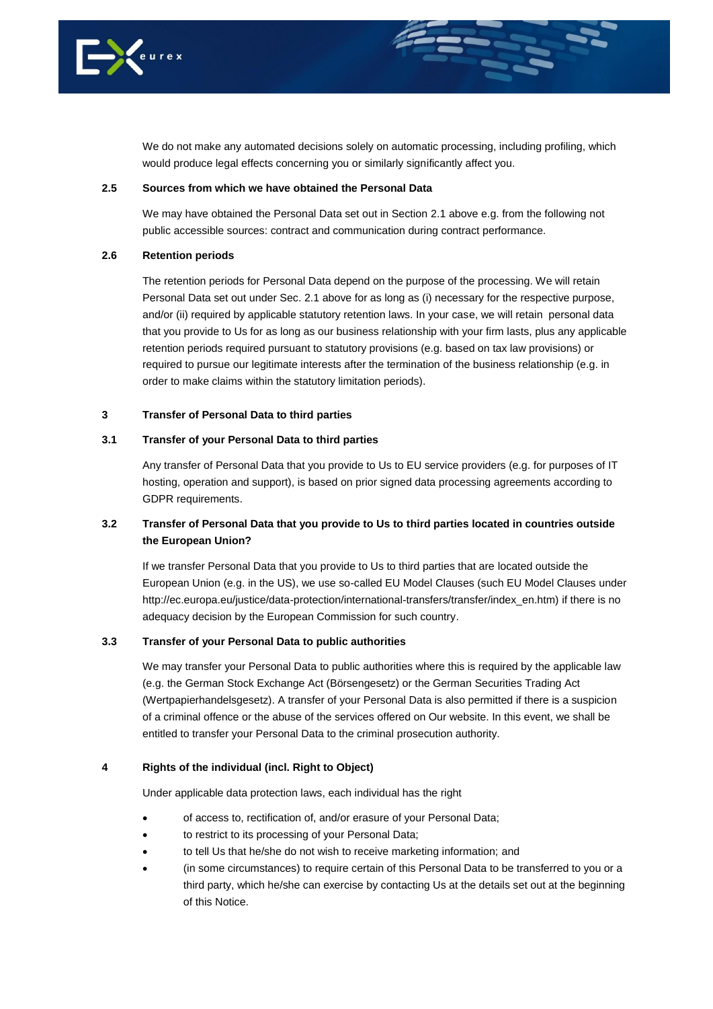

We do not make any automated decisions solely on automatic processing, including profiling, which would produce legal effects concerning you or similarly significantly affect you.

#### **2.5 Sources from which we have obtained the Personal Data**

We may have obtained the Personal Data set out in Section [2.1](#page-0-0) above e.g. from the following not public accessible sources: contract and communication during contract performance.

### **2.6 Retention periods**

The retention periods for Personal Data depend on the purpose of the processing. We will retain Personal Data set out under Sec. [2.1](#page-0-0) above for as long as (i) necessary for the respective purpose, and/or (ii) required by applicable statutory retention laws. In your case, we will retain personal data that you provide to Us for as long as our business relationship with your firm lasts, plus any applicable retention periods required pursuant to statutory provisions (e.g. based on tax law provisions) or required to pursue our legitimate interests after the termination of the business relationship (e.g. in order to make claims within the statutory limitation periods).

### **3 Transfer of Personal Data to third parties**

#### **3.1 Transfer of your Personal Data to third parties**

Any transfer of Personal Data that you provide to Us to EU service providers (e.g. for purposes of IT hosting, operation and support), is based on prior signed data processing agreements according to GDPR requirements.

# **3.2 Transfer of Personal Data that you provide to Us to third parties located in countries outside the European Union?**

If we transfer Personal Data that you provide to Us to third parties that are located outside the European Union (e.g. in the US), we use so-called EU Model Clauses (such EU Model Clauses under http://ec.europa.eu/justice/data-protection/international-transfers/transfer/index\_en.htm) if there is no adequacy decision by the European Commission for such country.

#### **3.3 Transfer of your Personal Data to public authorities**

We may transfer your Personal Data to public authorities where this is required by the applicable law (e.g. the German Stock Exchange Act (Börsengesetz) or the German Securities Trading Act (Wertpapierhandelsgesetz). A transfer of your Personal Data is also permitted if there is a suspicion of a criminal offence or the abuse of the services offered on Our website. In this event, we shall be entitled to transfer your Personal Data to the criminal prosecution authority.

### **4 Rights of the individual (incl. Right to Object)**

Under applicable data protection laws, each individual has the right

- of access to, rectification of, and/or erasure of your Personal Data;
- to restrict to its processing of your Personal Data;
- to tell Us that he/she do not wish to receive marketing information; and
- (in some circumstances) to require certain of this Personal Data to be transferred to you or a third party, which he/she can exercise by contacting Us at the details set out at the beginning of this Notice.